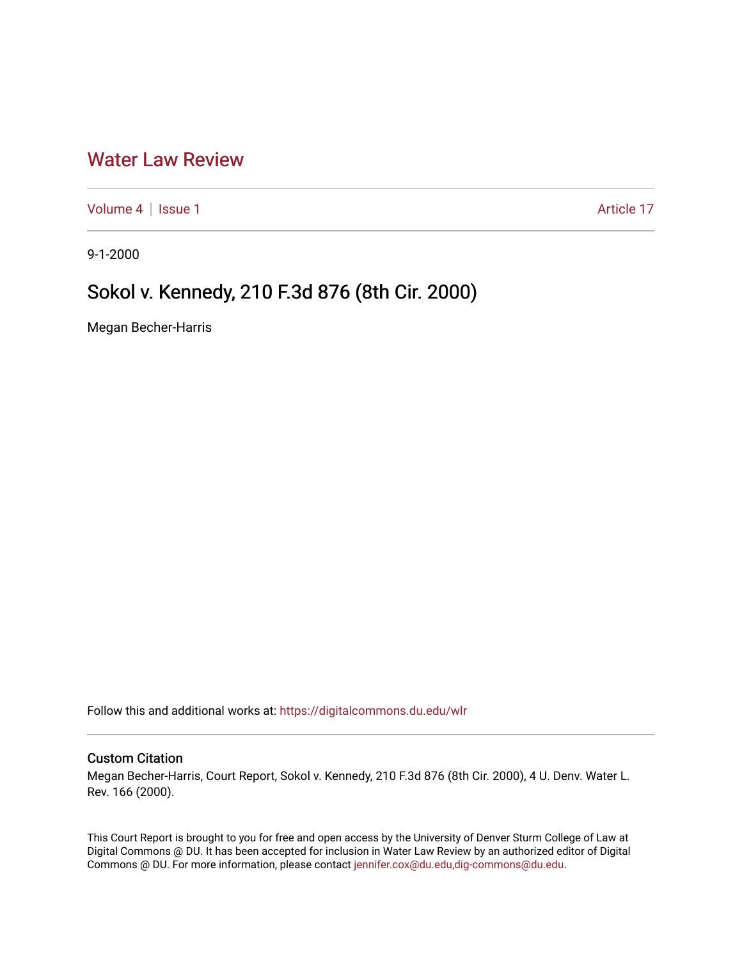## [Water Law Review](https://digitalcommons.du.edu/wlr)

[Volume 4](https://digitalcommons.du.edu/wlr/vol4) | [Issue 1](https://digitalcommons.du.edu/wlr/vol4/iss1) Article 17

9-1-2000

# Sokol v. Kennedy, 210 F.3d 876 (8th Cir. 2000)

Megan Becher-Harris

Follow this and additional works at: [https://digitalcommons.du.edu/wlr](https://digitalcommons.du.edu/wlr?utm_source=digitalcommons.du.edu%2Fwlr%2Fvol4%2Fiss1%2F17&utm_medium=PDF&utm_campaign=PDFCoverPages) 

### Custom Citation

Megan Becher-Harris, Court Report, Sokol v. Kennedy, 210 F.3d 876 (8th Cir. 2000), 4 U. Denv. Water L. Rev. 166 (2000).

This Court Report is brought to you for free and open access by the University of Denver Sturm College of Law at Digital Commons @ DU. It has been accepted for inclusion in Water Law Review by an authorized editor of Digital Commons @ DU. For more information, please contact [jennifer.cox@du.edu,dig-commons@du.edu.](mailto:jennifer.cox@du.edu,dig-commons@du.edu)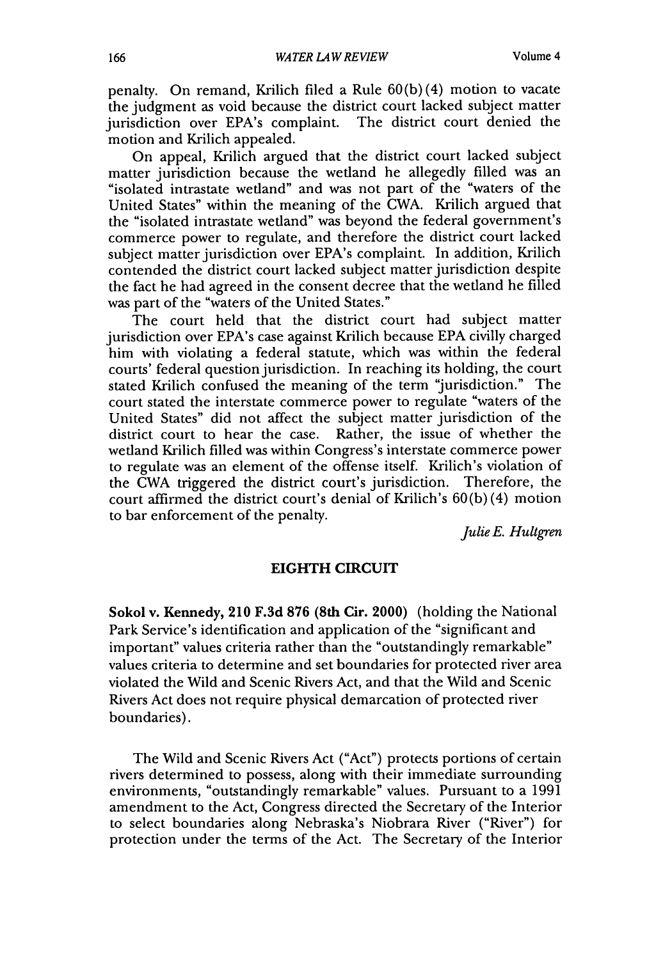penalty. On remand, Krilich filed a Rule 60(b) (4) motion to vacate the judgment as void because the district court lacked subject matter jurisdiction over EPA's complaint. The district court denied the motion and Krilich appealed.

On appeal, Krilich argued that the district court lacked subject matter jurisdiction because the wetland he allegedly filled was an "isolated intrastate wetland" and was not part of the "waters of the United States" within the meaning of the CWA. Krilich argued that the "isolated intrastate wetland" was beyond the federal government's commerce power to regulate, and therefore the district court lacked subject matter jurisdiction over EPA's complaint. In addition, Krilich contended the district court lacked subject matter jurisdiction despite the fact he had agreed in the consent decree that the wetland he filled was part of the "waters of the United States."

The court held that the district court had subject matter jurisdiction over EPA's case against Krilich because EPA civilly charged him with violating a federal statute, which was within the federal courts' federal question jurisdiction. In reaching its holding, the court stated Krilich confused the meaning of the term 'jurisdiction." The court stated the interstate commerce power to regulate "waters of the United States" did not affect the subject matter jurisdiction of the district court to hear the case. Rather, the issue of whether the wetland Krilich filled was within Congress's interstate commerce power to regulate was an element of the offense itself. Krilich's violation of the CWA triggered the district court's jurisdiction. Therefore, the court affirmed the district court's denial of Krilich's 60(b) (4) motion to bar enforcement of the penalty.

*Julie E. Hultgren*

### **EIGHTH CIRCUIT**

Sokol v. Kennedy, **210 F.3d 876 (8th Cir. 2000)** (holding the National Park Service's identification and application of the "significant and important" values criteria rather than the "outstandingly remarkable" values criteria to determine and set boundaries for protected river area violated the Wild and Scenic Rivers Act, and that the Wild and Scenic Rivers Act does not require physical demarcation of protected river boundaries).

The Wild and Scenic Rivers Act ("Act") protects portions of certain rivers determined to possess, along with their immediate surrounding environments, "outstandingly remarkable" values. Pursuant to a 1991 amendment to the Act, Congress directed the Secretary of the Interior to select boundaries along Nebraska's Niobrara River ("River") for protection under the terms of the Act. The Secretary of the Interior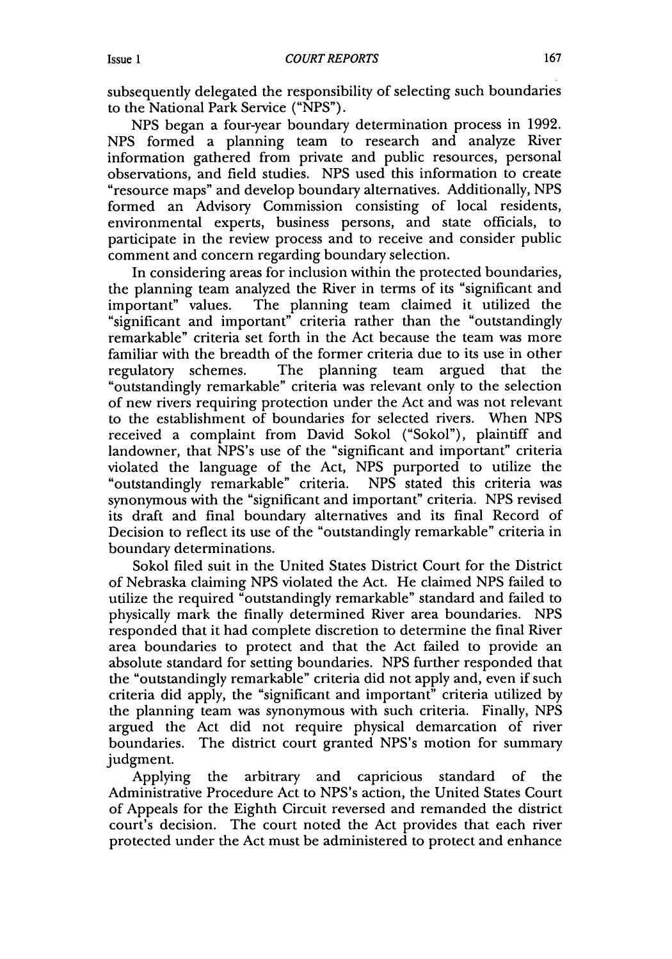subsequently delegated the responsibility of selecting such boundaries to the National Park Service ("NPS").

NPS began a four-year boundary determination process in 1992. NPS formed a planning team to research and analyze River information gathered from private and public resources, personal observations, and field studies. NPS used this information to create "resource maps" and develop boundary alternatives. Additionally, NPS formed an Advisory Commission consisting of local residents, environmental experts, business persons, and state officials, to participate in the review process and to receive and consider public comment and concern regarding boundary selection.

In considering areas for inclusion within the protected boundaries, the planning team analyzed the River in terms of its "significant and important" values. The planning team claimed it utilized the "significant and important" criteria rather than the "outstandingly remarkable" criteria set forth in the Act because the team was more familiar with the breadth of the former criteria due to its use in other regulatory schemes. The planning team argued that the "outstandingly remarkable" criteria was relevant only to the selection of new rivers requiring protection under the Act and was not relevant to the establishment of boundaries for selected rivers. When NPS received a complaint from David Sokol ("Sokol"), plaintiff and landowner, that NPS's use of the "significant and important" criteria violated the language of the Act, NPS purported to utilize the "outstandingly remarkable" criteria. NPS stated this criteria was synonymous with the "significant and important" criteria. NPS revised its draft and final boundary alternatives and its final Record of Decision to reflect its use of the "outstandingly remarkable" criteria in boundary determinations.

Sokol filed suit in the United States District Court for the District of Nebraska claiming NPS violated the Act. He claimed NPS failed to utilize the required "outstandingly remarkable" standard and failed to physically mark the finally determined River area boundaries. NPS responded that it had complete discretion to determine the final River area boundaries to protect and that the Act failed to provide an absolute standard for setting boundaries. NPS further responded that the "outstandingly remarkable" criteria did not apply and, even if such criteria did apply, the "significant and important" criteria utilized by the planning team was synonymous with such criteria. Finally, NPS argued the Act did not require physical demarcation of river boundaries. The district court granted NPS's motion for summary judgment.

Applying the arbitrary and capricious standard of the Administrative Procedure Act to NPS's action, the United States Court of Appeals for the Eighth Circuit reversed and remanded the district court's decision. The court noted the Act provides that each river protected under the Act must be administered to protect and enhance